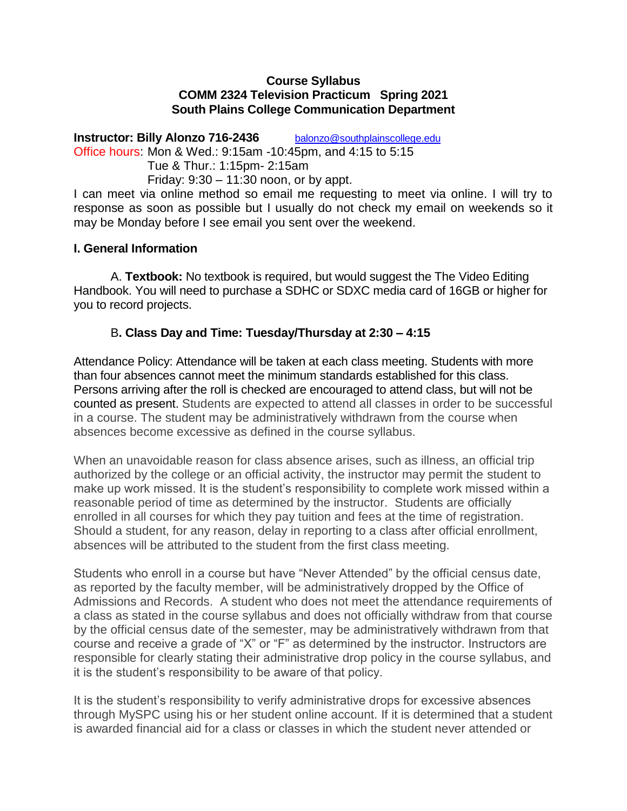#### **Course Syllabus COMM 2324 Television Practicum Spring 2021 South Plains College Communication Department**

**Instructor: Billy Alonzo 716-2436** balonzo@southplainscollege.edu Office hours: Mon & Wed.: 9:15am -10:45pm, and 4:15 to 5:15 Tue & Thur.: 1:15pm- 2:15am Friday:  $9:30 - 11:30$  noon, or by appt. I can meet via online method so email me requesting to meet via online. I will try to response as soon as possible but I usually do not check my email on weekends so it

may be Monday before I see email you sent over the weekend.

#### **I. General Information**

A. **Textbook:** No textbook is required, but would suggest the The Video Editing Handbook. You will need to purchase a SDHC or SDXC media card of 16GB or higher for you to record projects.

## B**. Class Day and Time: Tuesday/Thursday at 2:30 – 4:15**

Attendance Policy: Attendance will be taken at each class meeting. Students with more than four absences cannot meet the minimum standards established for this class. Persons arriving after the roll is checked are encouraged to attend class, but will not be counted as present. Students are expected to attend all classes in order to be successful in a course. The student may be administratively withdrawn from the course when absences become excessive as defined in the course syllabus.

When an unavoidable reason for class absence arises, such as illness, an official trip authorized by the college or an official activity, the instructor may permit the student to make up work missed. It is the student's responsibility to complete work missed within a reasonable period of time as determined by the instructor. Students are officially enrolled in all courses for which they pay tuition and fees at the time of registration. Should a student, for any reason, delay in reporting to a class after official enrollment, absences will be attributed to the student from the first class meeting.

Students who enroll in a course but have "Never Attended" by the official census date, as reported by the faculty member, will be administratively dropped by the Office of Admissions and Records. A student who does not meet the attendance requirements of a class as stated in the course syllabus and does not officially withdraw from that course by the official census date of the semester, may be administratively withdrawn from that course and receive a grade of "X" or "F" as determined by the instructor. Instructors are responsible for clearly stating their administrative drop policy in the course syllabus, and it is the student's responsibility to be aware of that policy.

It is the student's responsibility to verify administrative drops for excessive absences through MySPC using his or her student online account. If it is determined that a student is awarded financial aid for a class or classes in which the student never attended or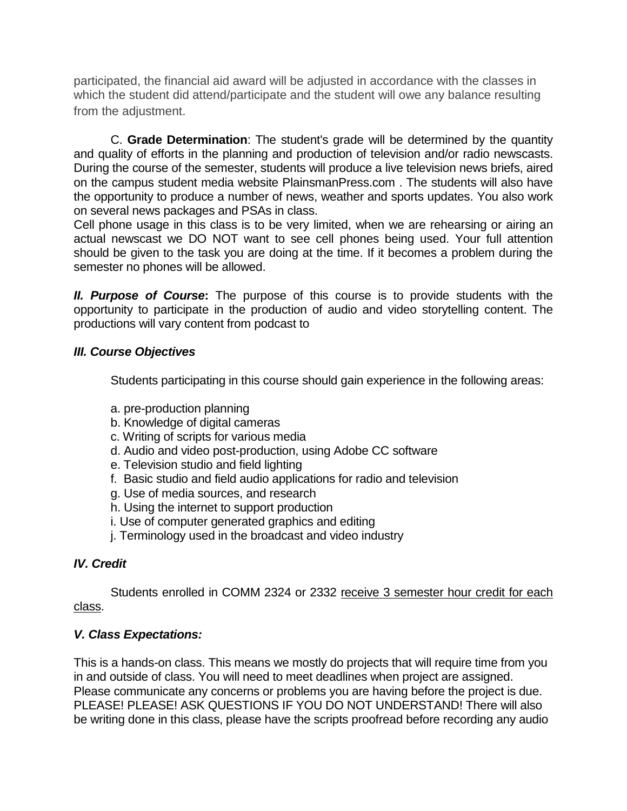participated, the financial aid award will be adjusted in accordance with the classes in which the student did attend/participate and the student will owe any balance resulting from the adjustment.

C. **Grade Determination**: The student's grade will be determined by the quantity and quality of efforts in the planning and production of television and/or radio newscasts. During the course of the semester, students will produce a live television news briefs, aired on the campus student media website PlainsmanPress.com . The students will also have the opportunity to produce a number of news, weather and sports updates. You also work on several news packages and PSAs in class.

Cell phone usage in this class is to be very limited, when we are rehearsing or airing an actual newscast we DO NOT want to see cell phones being used. Your full attention should be given to the task you are doing at the time. If it becomes a problem during the semester no phones will be allowed.

*II. Purpose of Course***:** The purpose of this course is to provide students with the opportunity to participate in the production of audio and video storytelling content. The productions will vary content from podcast to

## *III. Course Objectives*

Students participating in this course should gain experience in the following areas:

- a. pre-production planning
- b. Knowledge of digital cameras
- c. Writing of scripts for various media
- d. Audio and video post-production, using Adobe CC software
- e. Television studio and field lighting
- f. Basic studio and field audio applications for radio and television
- g. Use of media sources, and research
- h. Using the internet to support production
- i. Use of computer generated graphics and editing
- j. Terminology used in the broadcast and video industry

# *IV. Credit*

Students enrolled in COMM 2324 or 2332 receive 3 semester hour credit for each class.

# *V. Class Expectations:*

This is a hands-on class. This means we mostly do projects that will require time from you in and outside of class. You will need to meet deadlines when project are assigned. Please communicate any concerns or problems you are having before the project is due. PLEASE! PLEASE! ASK QUESTIONS IF YOU DO NOT UNDERSTAND! There will also be writing done in this class, please have the scripts proofread before recording any audio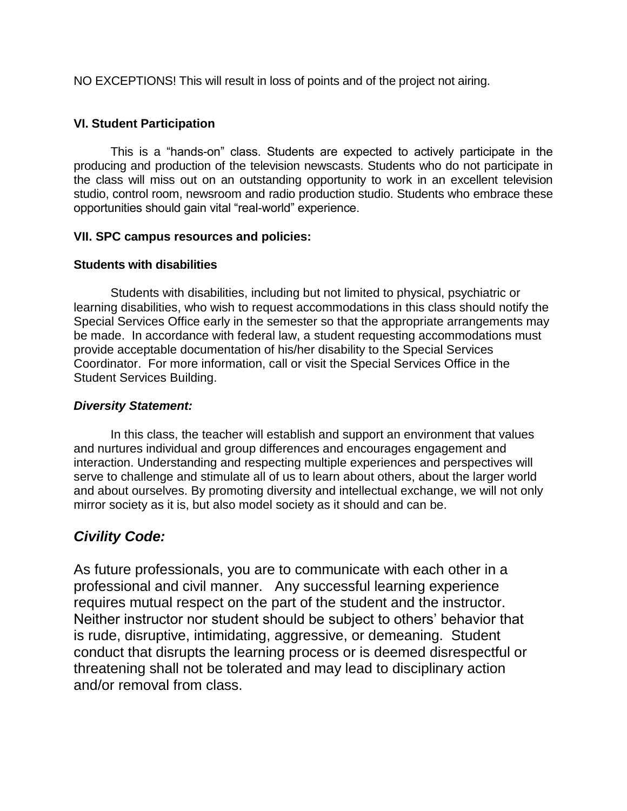NO EXCEPTIONS! This will result in loss of points and of the project not airing.

## **VI. Student Participation**

This is a "hands-on" class. Students are expected to actively participate in the producing and production of the television newscasts. Students who do not participate in the class will miss out on an outstanding opportunity to work in an excellent television studio, control room, newsroom and radio production studio. Students who embrace these opportunities should gain vital "real-world" experience.

#### **VII. SPC campus resources and policies:**

#### **Students with disabilities**

Students with disabilities, including but not limited to physical, psychiatric or learning disabilities, who wish to request accommodations in this class should notify the Special Services Office early in the semester so that the appropriate arrangements may be made. In accordance with federal law, a student requesting accommodations must provide acceptable documentation of his/her disability to the Special Services Coordinator. For more information, call or visit the Special Services Office in the Student Services Building.

## *Diversity Statement:*

In this class, the teacher will establish and support an environment that values and nurtures individual and group differences and encourages engagement and interaction. Understanding and respecting multiple experiences and perspectives will serve to challenge and stimulate all of us to learn about others, about the larger world and about ourselves. By promoting diversity and intellectual exchange, we will not only mirror society as it is, but also model society as it should and can be.

# *Civility Code:*

As future professionals, you are to communicate with each other in a professional and civil manner. Any successful learning experience requires mutual respect on the part of the student and the instructor. Neither instructor nor student should be subject to others' behavior that is rude, disruptive, intimidating, aggressive, or demeaning. Student conduct that disrupts the learning process or is deemed disrespectful or threatening shall not be tolerated and may lead to disciplinary action and/or removal from class.